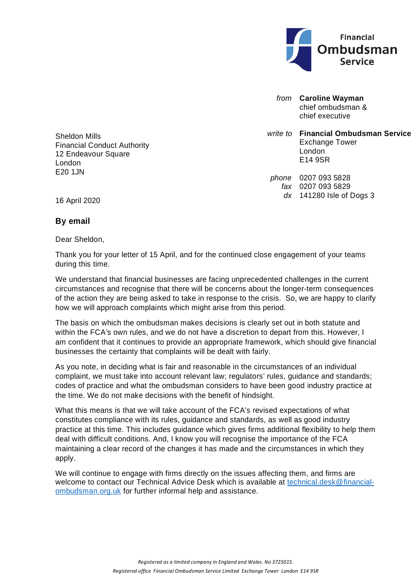

*from* **Caroline Wayman** chief ombudsman & chief executive

*write to* **Financial Ombudsman Service** Exchange Tower London E14 9SR

*phone* 0207 093 5828 *fax* 0207 093 5829 *dx* 141280 Isle of Dogs 3

Sheldon Mills Financial Conduct Authority 12 Endeavour Square London E20 1JN

16 April 2020

## **By email**

Dear Sheldon,

Thank you for your letter of 15 April, and for the continued close engagement of your teams during this time.

We understand that financial businesses are facing unprecedented challenges in the current circumstances and recognise that there will be concerns about the longer-term consequences of the action they are being asked to take in response to the crisis. So, we are happy to clarify how we will approach complaints which might arise from this period.

The basis on which the ombudsman makes decisions is clearly set out in both statute and within the FCA's own rules, and we do not have a discretion to depart from this. However, I am confident that it continues to provide an appropriate framework, which should give financial businesses the certainty that complaints will be dealt with fairly.

As you note, in deciding what is fair and reasonable in the circumstances of an individual complaint, we must take into account relevant law; regulators' rules, guidance and standards; codes of practice and what the ombudsman considers to have been good industry practice at the time. We do not make decisions with the benefit of hindsight.

What this means is that we will take account of the FCA's revised expectations of what constitutes compliance with its rules, guidance and standards, as well as good industry practice at this time. This includes guidance which gives firms additional flexibility to help them deal with difficult conditions. And, I know you will recognise the importance of the FCA maintaining a clear record of the changes it has made and the circumstances in which they apply.

We will continue to engage with firms directly on the issues affecting them, and firms are welcome to contact our Technical Advice Desk which is available at [technical.desk@financial](mailto:technical.desk@financial-ombudsman.org.uk)[ombudsman.org.uk](mailto:technical.desk@financial-ombudsman.org.uk) for further informal help and assistance.